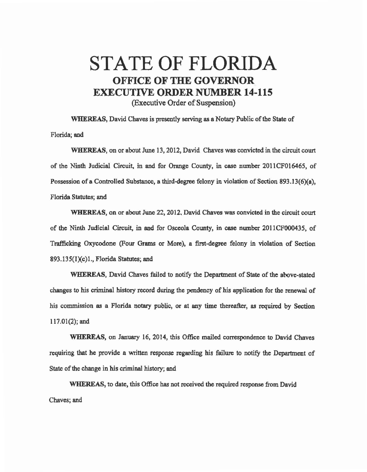## STATE OF FLORIDA **OFFICE OF THE GOVERNOR** EXECUTIVE ORDER NUMBER 14·115 (Executive Order of Suspension)

WHEREAS, David Chaves is presently serving as a Notary Public of the State of Florida; and

WHEREAS, on or about June 13, 2012, David Chaves was convicted in the circuit court of the Ninth Judicial Circuit, in and for Orange County, in case number 201 ICF016465, of Possession of a Controlled Substance, a third-degree felony in violation of Section 893.13(6)(a), Florida Statutes; and

WHEREAS, on or about June 22, 2012, David Chaves was convicted in the circuit court of the Ninth Judicial Circuit, in and for Osceola County, in case number 2011CF000435, of Trafficking Oxycodone (Four Grams or More), a first-degree felony in violation of Section  $893.135(1)(c)1$ ., Florida Statutes; and

WHEREAS, David Chaves failed to notify the Department of State of the above-stated changes to his criminal history record during the pendency of his application for the renewal of his commission as a Florida notary public, or at any time thereafter, as required by Section 117.01(2); and

WHEREAS, on January 16, 2014, this Office mailed correspondence to David Chaves requiring that he provide a written response regarding his failure to notify the Department of State of the change in his criminal history; and

WHEREAS, to date, this Office bas not received the required response from David Chaves; and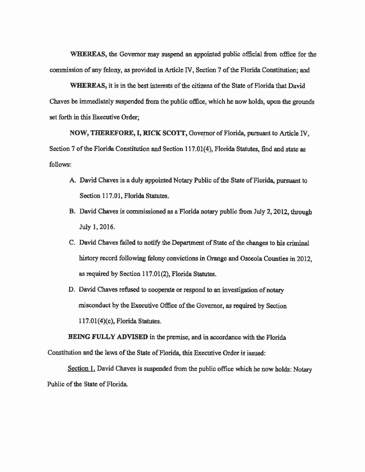WHEREAS, the Governor may suspend an appointed public official from office for the commission of any felony, *as* provided in Article IV, Section 7 of the Florida Constitution; and

WHEREAS, it is in the best interests of the citizens of the State of Florida that David Chaves be immediately suspended from the public office, which he now holds, upon the grounds set forth in this Executive Order;

NOW, THEREFORE, I, RICK SCOTT, Governor of Florida, pursuant to Article IV, Section 7 of the Florida Constitution and Section 117.01(4), Florida Statutes, find and state as follows:

- A. David Chaves is a duly appointed Notary Public of the State of Florida, pursuant to Section 117.01, Florida Statutes.
- B. David Chaves is commissioned es a Florida notary public from July 2, 2012, through July l, 2016.
- C. David Chaves failed to notify the Department of State of the changes to his criminal history record following felony convictions in Orange and Osceola Counties in 2012, *as* required by Section 117.01 (2), Florida Statutes.
- D. David Chaves refused to cooperate or respond to an investigation of notary misconduct by the Executive Office of the Governor, *as* required by Section 1l7,01(4)(c), Florida Statutes.

BEING FULLY ADVISED in the premise, and in accordance with the Florida Constitution and the laws of the State of Florida, this Executive Order is issued:

Section 1. David Chaves is suspended from the public office which he now holds: Notary Public of the State of Florida.